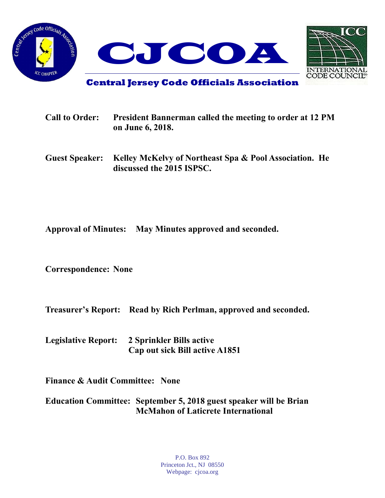



**Central Jersey Code Officials Association**

| <b>Call to Order:</b> | <b>President Bannerman called the meeting to order at 12 PM</b><br>on June 6, 2018.                |
|-----------------------|----------------------------------------------------------------------------------------------------|
|                       | Guest Speaker: Kelley McKelvy of Northeast Spa & Pool Association. He<br>discussed the 2015 ISPSC. |

**Approval of Minutes: May Minutes approved and seconded.**

**Correspondence: None**

**Treasurer's Report: Read by Rich Perlman, approved and seconded.**

**Legislative Report: 2 Sprinkler Bills active Cap out sick Bill active A1851**

**Finance & Audit Committee: None**

**Education Committee: September 5, 2018 guest speaker will be Brian McMahon of Laticrete International**

> P.O. Box 892 Princeton Jct., NJ 08550 Webpage: cjcoa.org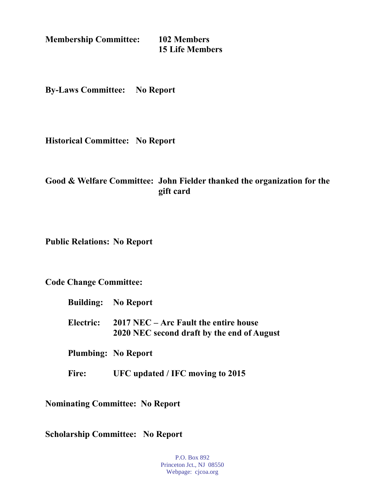**Membership Committee: 102 Members**

**15 Life Members**

**By-Laws Committee: No Report**

**Historical Committee: No Report**

## **Good & Welfare Committee: John Fielder thanked the organization for the gift card**

**Public Relations: No Report**

**Code Change Committee:**

- **Building: No Report**
- **Electric: 2017 NEC – Arc Fault the entire house 2020 NEC second draft by the end of August**

**Plumbing: No Report**

**Fire: UFC updated / IFC moving to 2015**

**Nominating Committee: No Report**

**Scholarship Committee: No Report**

P.O. Box 892 Princeton Jct., NJ 08550 Webpage: cjcoa.org